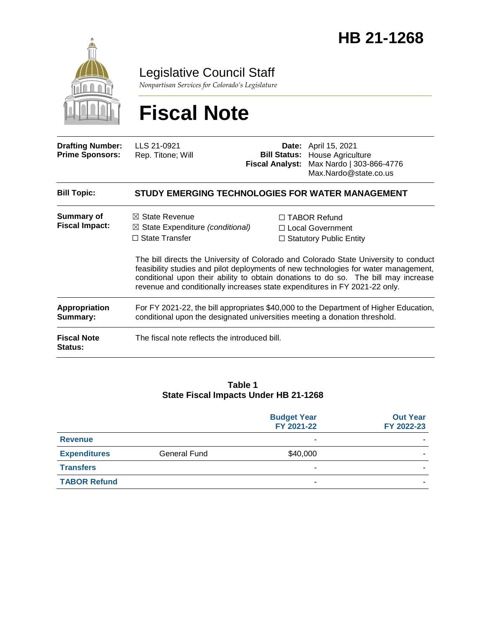

Legislative Council Staff

*Nonpartisan Services for Colorado's Legislature*

# **Fiscal Note**

| <b>Drafting Number:</b><br><b>Prime Sponsors:</b> | LLS 21-0921<br>Rep. Titone; Will                                                                                                                                                | <b>Fiscal Analyst:</b> | <b>Date:</b> April 15, 2021<br><b>Bill Status: House Agriculture</b><br>Max Nardo   303-866-4776<br>Max.Nardo@state.co.us                                                                                                                                                                                                                             |
|---------------------------------------------------|---------------------------------------------------------------------------------------------------------------------------------------------------------------------------------|------------------------|-------------------------------------------------------------------------------------------------------------------------------------------------------------------------------------------------------------------------------------------------------------------------------------------------------------------------------------------------------|
| <b>Bill Topic:</b>                                | <b>STUDY EMERGING TECHNOLOGIES FOR WATER MANAGEMENT</b>                                                                                                                         |                        |                                                                                                                                                                                                                                                                                                                                                       |
| <b>Summary of</b><br><b>Fiscal Impact:</b>        | $\boxtimes$ State Revenue<br>$\boxtimes$ State Expenditure (conditional)<br>$\Box$ State Transfer<br>revenue and conditionally increases state expenditures in FY 2021-22 only. |                        | $\Box$ TABOR Refund<br>$\Box$ Local Government<br>$\Box$ Statutory Public Entity<br>The bill directs the University of Colorado and Colorado State University to conduct<br>feasibility studies and pilot deployments of new technologies for water management,<br>conditional upon their ability to obtain donations to do so. The bill may increase |
| Appropriation<br>Summary:                         | For FY 2021-22, the bill appropriates \$40,000 to the Department of Higher Education,<br>conditional upon the designated universities meeting a donation threshold.             |                        |                                                                                                                                                                                                                                                                                                                                                       |
| <b>Fiscal Note</b><br><b>Status:</b>              | The fiscal note reflects the introduced bill.                                                                                                                                   |                        |                                                                                                                                                                                                                                                                                                                                                       |

#### **Table 1 State Fiscal Impacts Under HB 21-1268**

|                     |                     | <b>Budget Year</b><br>FY 2021-22 | <b>Out Year</b><br>FY 2022-23 |
|---------------------|---------------------|----------------------------------|-------------------------------|
| <b>Revenue</b>      |                     | -                                |                               |
| <b>Expenditures</b> | <b>General Fund</b> | \$40,000                         |                               |
| <b>Transfers</b>    |                     |                                  |                               |
| <b>TABOR Refund</b> |                     |                                  |                               |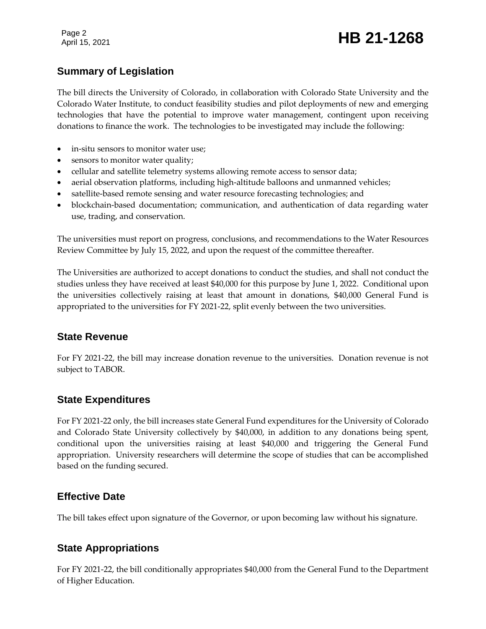Page 2

## Page 2<br>April 15, 2021 **HB 21-1268**

### **Summary of Legislation**

The bill directs the University of Colorado, in collaboration with Colorado State University and the Colorado Water Institute, to conduct feasibility studies and pilot deployments of new and emerging technologies that have the potential to improve water management, contingent upon receiving donations to finance the work. The technologies to be investigated may include the following:

- in-situ sensors to monitor water use;
- sensors to monitor water quality;
- cellular and satellite telemetry systems allowing remote access to sensor data;
- aerial observation platforms, including high-altitude balloons and unmanned vehicles;
- satellite-based remote sensing and water resource forecasting technologies; and
- blockchain-based documentation; communication, and authentication of data regarding water use, trading, and conservation.

The universities must report on progress, conclusions, and recommendations to the Water Resources Review Committee by July 15, 2022, and upon the request of the committee thereafter.

The Universities are authorized to accept donations to conduct the studies, and shall not conduct the studies unless they have received at least \$40,000 for this purpose by June 1, 2022. Conditional upon the universities collectively raising at least that amount in donations, \$40,000 General Fund is appropriated to the universities for FY 2021-22, split evenly between the two universities.

#### **State Revenue**

For FY 2021-22, the bill may increase donation revenue to the universities. Donation revenue is not subject to TABOR.

#### **State Expenditures**

For FY 2021-22 only, the bill increases state General Fund expenditures for the University of Colorado and Colorado State University collectively by \$40,000, in addition to any donations being spent, conditional upon the universities raising at least \$40,000 and triggering the General Fund appropriation. University researchers will determine the scope of studies that can be accomplished based on the funding secured.

#### **Effective Date**

The bill takes effect upon signature of the Governor, or upon becoming law without his signature.

#### **State Appropriations**

For FY 2021-22, the bill conditionally appropriates \$40,000 from the General Fund to the Department of Higher Education.